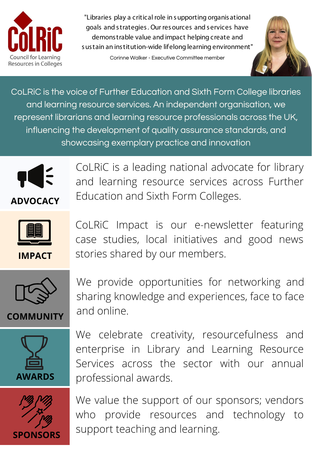

"Libraries play a critical role in s upporting organis ational goals and s trategies . Our res ources and s ervices have demons trable value and impact helping create and s us tain an ins titution-wide lifelong learning environment"

Corinne Walker - Executive Committee member



CoLRiC is the voice of Further Education and Sixth Form College libraries and learning resource services. An independent organisation, we represent librarians and learning resource professionals across the UK, influencing the development of quality assurance standards, and showcasing exemplary practice and innovation



**ADVOCACY**

CoLRiC is a leading national advocate for library and learning resource services across Further Education and Sixth Form Colleges.



**IMPACT**

CoLRiC Impact is our e-newsletter featuring case studies, local initiatives and good news stories shared by our members.



**COMMUNITY**

We provide opportunities for networking and sharing knowledge and experiences, face to face and online.



We celebrate creativity, resourcefulness and enterprise in Library and Learning Resource Services across the sector with our annual professional awards.



We value the support of our sponsors; vendors who provide resources and technology to support teaching and learning.